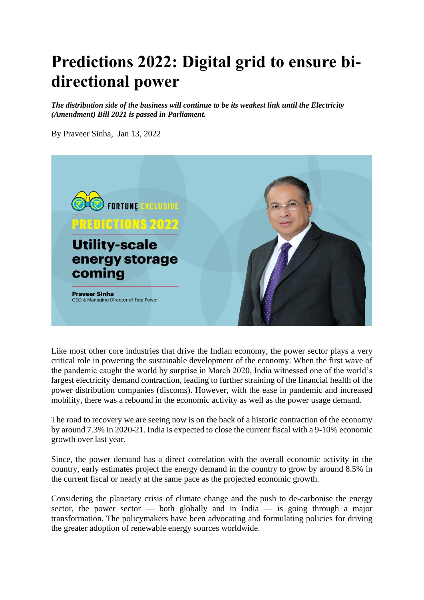## **Predictions 2022: Digital grid to ensure bidirectional power**

*The distribution side of the business will continue to be its weakest link until the Electricity (Amendment) Bill 2021 is passed in Parliament.* 

By Praveer Sinha, Jan 13, 2022



Like most other core industries that drive the Indian economy, the power sector plays a very critical role in powering the sustainable development of the economy. When the first wave of the pandemic caught the world by surprise in March 2020, India witnessed one of the world's largest electricity demand contraction, leading to further straining of the financial health of the power distribution companies (discoms). However, with the ease in pandemic and increased mobility, there was a rebound in the economic activity as well as the power usage demand.

The road to recovery we are seeing now is on the back of a historic contraction of the economy by around 7.3% in 2020-21. India is expected to close the current fiscal with a 9-10% economic growth over last year.

Since, the power demand has a direct correlation with the overall economic activity in the country, early estimates project the energy demand in the country to grow by around 8.5% in the current fiscal or nearly at the same pace as the projected economic growth.

Considering the planetary crisis of climate change and the push to de-carbonise the energy sector, the power sector — both globally and in India — is going through a major transformation. The policymakers have been advocating and formulating policies for driving the greater adoption of renewable energy sources worldwide.